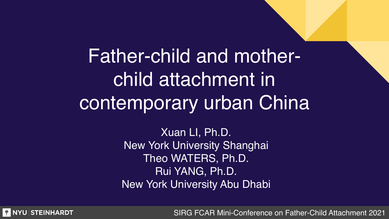# Father-child and motherchild attachment in contemporary urban China

Xuan LI, Ph.D. New York University Shanghai Theo WATERS, Ph.D. Rui YANG, Ph.D. New York University Abu Dhabi

**WINYU STEINHARDT**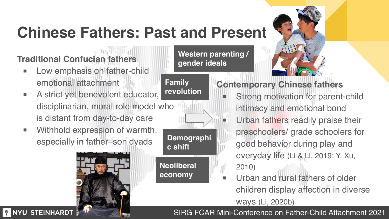## **Chinese Fathers: Past and Present**

### **Traditional Confucian fathers**

- Low emphasis on father-child emotional attachment
- A strict yet benevolent educator, disciplinarian, moral role model who is distant from day-to-day care
- Withhold expression of warmth, especially in father–son dyads



### **Demographi c shift Neoliberal economy**

### **Western parenting / gender ideals**

**Family revolution**



### **Contemporary Chinese fathers**

- Strong motivation for parent-child intimacy and emotional bond
- Urban fathers readily praise their preschoolers/ grade schoolers for good behavior during play and everyday life (Li & Li, 2019; Y. Xu, 2010)
- Urban and rural fathers of older children display affection in diverse ways (Li, 2020b)

**WINYU STEINHARDT**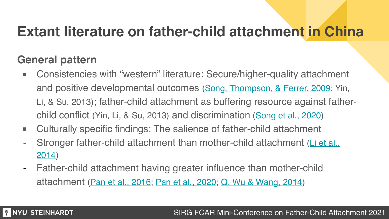### **Extant literature on father-child attachment in China**

### **General pattern**

- Consistencies with "western" literature: Secure/higher-quality attachment and positive developmental outcomes [\(Song, Thompson, & Ferrer, 2009;](https://www-sciencedirect-com.proxy.library.nyu.edu/science/article/pii/S0140197109000025) Yin, Li, & Su, 2013); father-child attachment as buffering resource against fatherchild conflict (Yin, Li, & Su, 2013) and discrimination [\(Song et al., 2020](https://journals-sagepub-com.proxy.library.nyu.edu/doi/pdf/10.1177/0272431619870604))
- Culturally specific findings: The salience of father-child attachment
- Stronger father-child attachment than mother-child attachment (Li et al., [2014](https://www-sciencedirect-com.proxy.library.nyu.edu/science/article/pii/S0191886914004322?via%3Dihub))
- Father-child attachment having greater influence than mother-child attachment [\(Pan et al., 2016](https://link-springer-com.proxy.library.nyu.edu/article/10.1007/s10826-016-0463-0); [Pan et al., 2020](https://srcd-onlinelibrary-wiley-com.proxy.library.nyu.edu/doi/pdf/10.1111/cdev.13319); [Q. Wu & Wang, 2014](https://en.cnki.com.cn/Article_en/CJFDTotal-ZLCY201404026.htm))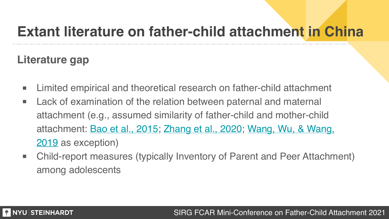### **Extant literature on father-child attachment in China**

### **Literature gap**

- Limited empirical and theoretical research on father-child attachment
- Lack of examination of the relation between paternal and maternal attachment (e.g., assumed similarity of father-child and mother-child attachment: [Bao et al., 2015;](https://www-sciencedirect-com.proxy.library.nyu.edu/science/article/pii/S0140197115001244) [Zhang et al., 2020](https://www-sciencedirect-com.proxy.library.nyu.edu/science/article/pii/S0301051120300041); [Wang, Wu, & Wang,](https://journals-sagepub-com.proxy.library.nyu.edu/doi/full/10.1177/0886260519881531)  [2019](https://journals-sagepub-com.proxy.library.nyu.edu/doi/full/10.1177/0886260519881531) as exception)
- Child-report measures (typically Inventory of Parent and Peer Attachment) among adolescents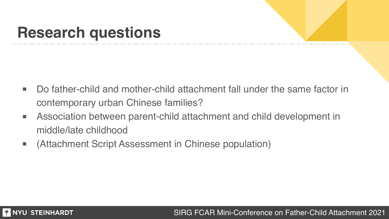## **Research questions**

- Do father-child and mother-child attachment fall under the same factor in contemporary urban Chinese families?
- Association between parent-child attachment and child development in middle/late childhood
- (Attachment Script Assessment in Chinese population)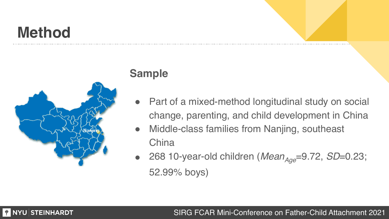## **Method**



### **Sample**

- Part of a mixed-method longitudinal study on social change, parenting, and child development in China
- ! Middle-class families from Nanjing, southeast **China**
- 268 10-year-old children (*Mean<sub>Age</sub>*=9.72, *SD*=0.23; 52.99% boys)

### **WINYU STEINHARDT**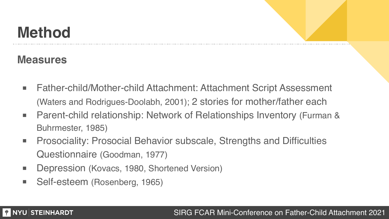## **Method**

### **Measures**

**WINYU STEINHARDT** 

- Father-child/Mother-child Attachment: Attachment Script Assessment (Waters and Rodrigues-Doolabh, 2001); 2 stories for mother/father each
- Parent-child relationship: Network of Relationships Inventory (Furman & Buhrmester, 1985)
- Prosociality: Prosocial Behavior subscale, Strengths and Difficulties Questionnaire (Goodman, 1977)
- Depression (Kovacs, 1980, Shortened Version)
- Self-esteem (Rosenberg, 1965)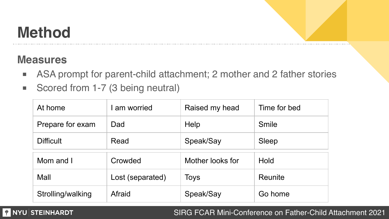## **Method**

### **Measures**

- ASA prompt for parent-child attachment; 2 mother and 2 father stories
- Scored from 1-7 (3 being neutral)

| At home           | I am worried     | Raised my head   | Time for bed |
|-------------------|------------------|------------------|--------------|
| Prepare for exam  | Dad              | Help             | Smile        |
| <b>Difficult</b>  | Read             | Speak/Say        | Sleep        |
| Mom and I         | Crowded          | Mother looks for | Hold         |
| Mall              | Lost (separated) | Toys             | Reunite      |
| Strolling/walking | Afraid           | Speak/Say        | Go home      |

#### **WINYU STEINHARDT**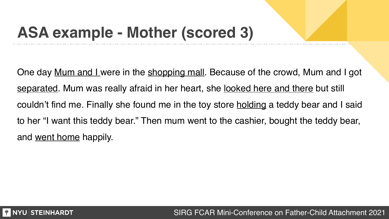## **ASA example - Mother (scored 3)**

One day <u>Mum and I</u> were in the shopping mall. Because of the crowd, Mum and I got separated. Mum was really afraid in her heart, she <u>looked here and there</u> but still couldn't find me. Finally she found me in the toy store holding a teddy bear and I said to her "I want this teddy bear." Then mum went to the cashier, bought the teddy bear, and went home happily.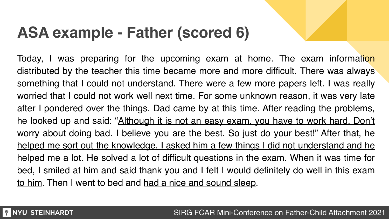## **ASA example - Father (scored 6)**

Today, I was preparing for the upcoming exam at home. The exam information distributed by the teacher this time became more and more difficult. There was always something that I could not understand. There were a few more papers left. I was really worried that I could not work well next time. For some unknown reason, it was very late after I pondered over the things. Dad came by at this time. After reading the problems, he looked up and said: "Although it is not an easy exam, you have to work hard. Don't worry about doing bad. I believe you are the best. So just do your best!" After that, he helped me sort out the knowledge. I asked him a few things I did not understand and he helped me a lot. He solved a lot of difficult questions in the exam. When it was time for bed, I smiled at him and said thank you and I felt I would definitely do well in this exam to him. Then I went to bed and had a nice and sound sleep.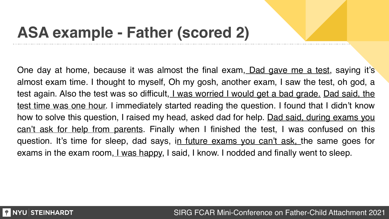## **ASA example - Father (scored 2)**

One day at home, because it was almost the final exam, Dad gave me a test, saying it's almost exam time. I thought to myself, Oh my gosh, another exam, I saw the test, oh god, a test again. Also the test was so difficult, I was worried I would get a bad grade. Dad said, the test time was one hour. I immediately started reading the question. I found that I didn't know how to solve this question, I raised my head, asked dad for help. <u>Dad said, during exams you</u> can't ask for help from parents. Finally when I finished the test, I was confused on this question. It's time for sleep, dad says, in future exams you can't ask, the same goes for exams in the exam room, I was happy, I said, I know. I nodded and finally went to sleep.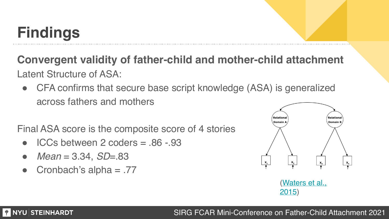# **Findings**

**Convergent validity of father-child and mother-child attachment** Latent Structure of ASA:

• CFA confirms that secure base script knowledge (ASA) is generalized across fathers and mothers

Final ASA score is the composite score of 4 stories

- $ICCs$  between 2 coders  $= .86 .93$
- ! *Mean* = 3.34, *SD*=.83
- Cronbach's alpha  $= .77$



[\(Waters et al.,](https://acamh-onlinelibrary-wiley-com.proxy.library.nyu.edu/doi/pdf/10.1111/j.1469-7610.1997.tb01545.x)  [2015](https://acamh-onlinelibrary-wiley-com.proxy.library.nyu.edu/doi/pdf/10.1111/j.1469-7610.1997.tb01545.x))

### **THE NATION STEINHARDT**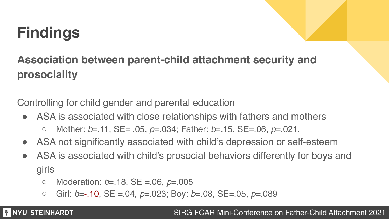# **Findings**

**Association between parent-child attachment security and prosociality**

Controlling for child gender and parental education

- ASA is associated with close relationships with fathers and mothers
	- Mother: *b*=.11, SE= .05, *p*=.034; Father: *b*=.15, SE=.06, *p*=.021.
- ! ASA not significantly associated with child's depression or self-esteem
- ! ASA is associated with child's prosocial behaviors differently for boys and girls
	- Moderation: *b*=.18, SE =.06, *p*=.005
	- Girl: *b*=-.10, SE =.04, *p*=.023; Boy: *b*=.08, SE=.05, *p*=.089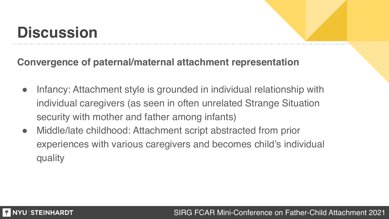## **Discussion**

### **Convergence of paternal/maternal attachment representation**

- Infancy: Attachment style is grounded in individual relationship with individual caregivers (as seen in often unrelated Strange Situation security with mother and father among infants)
- Middle/late childhood: Attachment script abstracted from prior experiences with various caregivers and becomes child's individual quality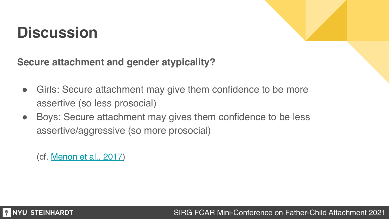## **Discussion**

**Secure attachment and gender atypicality?**

- Girls: Secure attachment may give them confidence to be more assertive (so less prosocial)
- Boys: Secure attachment may gives them confidence to be less assertive/aggressive (so more prosocial)

(cf. [Menon et al., 2017\)](https://onlinelibrary-wiley-com.proxy.library.nyu.edu/doi/pdf/10.1111/sode.12191)

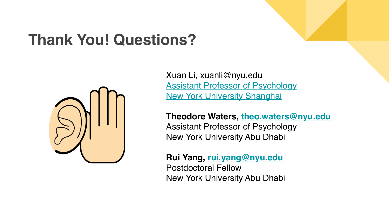### **Thank You! Questions?**



Xuan Li, xuanli@nyu.edu [Assistant Professor of Psychology](https://shanghai.nyu.edu/academics/faculty/directory/xuan-li) [New York University Shanghai](https://shanghai.nyu.edu/academics/faculty/directory/xuan-li)

**Theodore Waters, [theo.waters@nyu.edu](mailto:theo.waters@nyu.edu)** Assistant Professor of Psychology New York University Abu Dhabi

**Rui Yang, [rui.yang@nyu.edu](mailto:rui.yang@nyu.edu)** Postdoctoral Fellow New York University Abu Dhabi